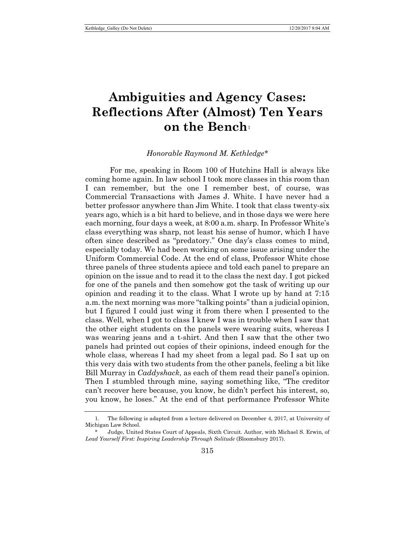## **Ambiguities and Agency Cases: Reflections After (Almost) Ten Years on the Bench**[1](#page-0-0)

## *Honorable Raymond M. Kethledge*[\\*](#page-0-1)

For me, speaking in Room 100 of Hutchins Hall is always like coming home again. In law school I took more classes in this room than I can remember, but the one I remember best, of course, was Commercial Transactions with James J. White. I have never had a better professor anywhere than Jim White. I took that class twenty-six years ago, which is a bit hard to believe, and in those days we were here each morning, four days a week, at 8:00 a.m. sharp. In Professor White's class everything was sharp, not least his sense of humor, which I have often since described as "predatory." One day's class comes to mind, especially today. We had been working on some issue arising under the Uniform Commercial Code. At the end of class, Professor White chose three panels of three students apiece and told each panel to prepare an opinion on the issue and to read it to the class the next day. I got picked for one of the panels and then somehow got the task of writing up our opinion and reading it to the class. What I wrote up by hand at 7:15 a.m. the next morning was more "talking points" than a judicial opinion, but I figured I could just wing it from there when I presented to the class. Well, when I got to class I knew I was in trouble when I saw that the other eight students on the panels were wearing suits, whereas I was wearing jeans and a t-shirt. And then I saw that the other two panels had printed out copies of their opinions, indeed enough for the whole class, whereas I had my sheet from a legal pad. So I sat up on this very dais with two students from the other panels, feeling a bit like Bill Murray in *Caddyshack*, as each of them read their panel's opinion. Then I stumbled through mine, saying something like, "The creditor can't recover here because, you know, he didn't perfect his interest, so, you know, he loses." At the end of that performance Professor White

<span id="page-0-0"></span><sup>1.</sup> The following is adapted from a lecture delivered on December 4, 2017, at University of Michigan Law School.

<span id="page-0-1"></span><sup>\*</sup> Judge, United States Court of Appeals, Sixth Circuit. Author, with Michael S. Erwin, of *Lead Yourself First: Inspiring Leadership Through Solitude* (Bloomsbury 2017).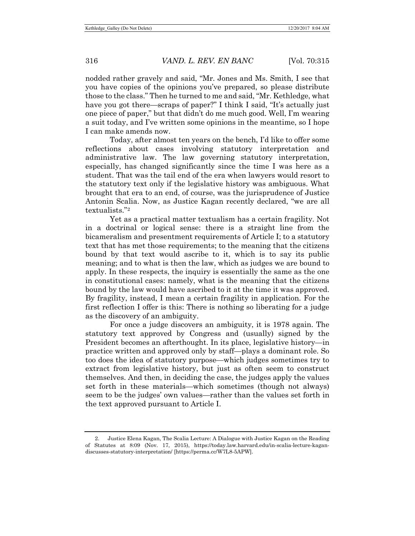nodded rather gravely and said, "Mr. Jones and Ms. Smith, I see that you have copies of the opinions you've prepared, so please distribute those to the class." Then he turned to me and said, "Mr. Kethledge, what have you got there—scraps of paper?" I think I said, "It's actually just one piece of paper," but that didn't do me much good. Well, I'm wearing a suit today, and I've written some opinions in the meantime, so I hope I can make amends now.

Today, after almost ten years on the bench, I'd like to offer some reflections about cases involving statutory interpretation and administrative law. The law governing statutory interpretation, especially, has changed significantly since the time I was here as a student. That was the tail end of the era when lawyers would resort to the statutory text only if the legislative history was ambiguous. What brought that era to an end, of course, was the jurisprudence of Justice Antonin Scalia. Now, as Justice Kagan recently declared, "we are all textualists."[2](#page-1-0)

Yet as a practical matter textualism has a certain fragility. Not in a doctrinal or logical sense: there is a straight line from the bicameralism and presentment requirements of Article I; to a statutory text that has met those requirements; to the meaning that the citizens bound by that text would ascribe to it, which is to say its public meaning; and to what is then the law, which as judges we are bound to apply. In these respects, the inquiry is essentially the same as the one in constitutional cases: namely, what is the meaning that the citizens bound by the law would have ascribed to it at the time it was approved. By fragility, instead, I mean a certain fragility in application. For the first reflection I offer is this: There is nothing so liberating for a judge as the discovery of an ambiguity.

For once a judge discovers an ambiguity, it is 1978 again. The statutory text approved by Congress and (usually) signed by the President becomes an afterthought. In its place, legislative history—in practice written and approved only by staff—plays a dominant role. So too does the idea of statutory purpose—which judges sometimes try to extract from legislative history, but just as often seem to construct themselves. And then, in deciding the case, the judges apply the values set forth in these materials—which sometimes (though not always) seem to be the judges' own values—rather than the values set forth in the text approved pursuant to Article I.

<span id="page-1-0"></span><sup>2.</sup> Justice Elena Kagan, The Scalia Lecture: A Dialogue with Justice Kagan on the Reading of Statutes at 8:09 (Nov. 17, 2015), https://today.law.harvard.edu/in-scalia-lecture-kagandiscusses-statutory-interpretation/ [https://perma.cc/W7L8-5APW].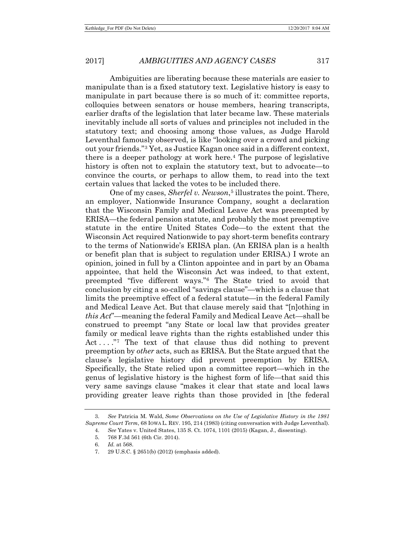Ambiguities are liberating because these materials are easier to manipulate than is a fixed statutory text. Legislative history is easy to manipulate in part because there is so much of it: committee reports, colloquies between senators or house members, hearing transcripts, earlier drafts of the legislation that later became law. These materials inevitably include all sorts of values and principles not included in the statutory text; and choosing among those values, as Judge Harold Leventhal famously observed, is like "looking over a crowd and picking out your friends."[3](#page-2-0) Yet, as Justice Kagan once said in a different context, there is a deeper pathology at work here.[4](#page-2-1) The purpose of legislative history is often not to explain the statutory text, but to advocate—to convince the courts, or perhaps to allow them, to read into the text certain values that lacked the votes to be included there.

One of my cases, *Sherfel v. Newson*<sup>[5](#page-2-2)</sup> illustrates the point. There, an employer, Nationwide Insurance Company, sought a declaration that the Wisconsin Family and Medical Leave Act was preempted by ERISA—the federal pension statute, and probably the most preemptive statute in the entire United States Code—to the extent that the Wisconsin Act required Nationwide to pay short-term benefits contrary to the terms of Nationwide's ERISA plan. (An ERISA plan is a health or benefit plan that is subject to regulation under ERISA.) I wrote an opinion, joined in full by a Clinton appointee and in part by an Obama appointee, that held the Wisconsin Act was indeed, to that extent, preempted "five different ways."[6](#page-2-3) The State tried to avoid that conclusion by citing a so-called "savings clause"—which is a clause that limits the preemptive effect of a federal statute—in the federal Family and Medical Leave Act. But that clause merely said that "[n]othing in *this Act*"—meaning the federal Family and Medical Leave Act—shall be construed to preempt "any State or local law that provides greater family or medical leave rights than the rights established under this Act . . . . . . . . . The text of that clause thus did nothing to prevent preemption by *other* acts, such as ERISA. But the State argued that the clause's legislative history did prevent preemption by ERISA. Specifically, the State relied upon a committee report—which in the genus of legislative history is the highest form of life—that said this very same savings clause "makes it clear that state and local laws providing greater leave rights than those provided in [the federal

<span id="page-2-4"></span><span id="page-2-3"></span><span id="page-2-2"></span><span id="page-2-1"></span><span id="page-2-0"></span><sup>3.</sup> *See* Patricia M. Wald, *Some Observations on the Use of Legislative History in the 1981 Supreme Court Term*, 68 IOWA L. REV. 195, 214 (1983) (citing conversation with Judge Leventhal).

<sup>4.</sup> *See* Yates v. United States, 135 S. Ct. 1074, 1101 (2015) (Kagan, J., dissenting).

<sup>5.</sup> 768 F.3d 561 (6th Cir. 2014).

<sup>6.</sup> *Id.* at 568.

<sup>7.</sup> 29 U.S.C. § 2651(b) (2012) (emphasis added).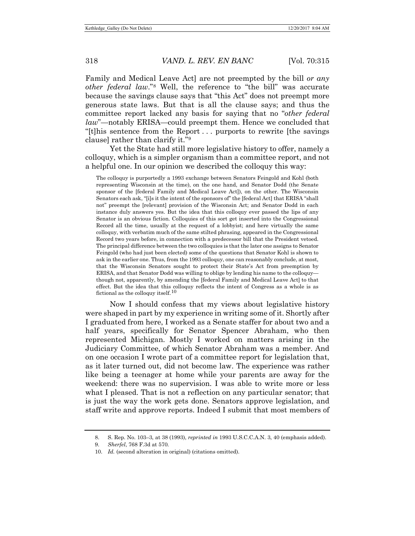Family and Medical Leave Act] are not preempted by the bill *or any other federal law*."[8](#page-3-0) Well, the reference to "the bill" was accurate because the savings clause says that "this Act" does not preempt more generous state laws. But that is all the clause says; and thus the committee report lacked any basis for saying that no "*other federal law*"—notably ERISA—could preempt them. Hence we concluded that "[t]his sentence from the Report . . . purports to rewrite [the savings clause] rather than clarify it."[9](#page-3-1)

Yet the State had still more legislative history to offer, namely a colloquy, which is a simpler organism than a committee report, and not a helpful one. In our opinion we described the colloquy this way:

The colloquy is purportedly a 1993 exchange between Senators Feingold and Kohl (both representing Wisconsin at the time), on the one hand, and Senator Dodd (the Senate sponsor of the [federal Family and Medical Leave Act]), on the other. The Wisconsin Senators each ask, "[i]s it the intent of the sponsors of" the [federal Act] that ERISA "shall not" preempt the [relevant] provision of the Wisconsin Act; and Senator Dodd in each instance duly answers yes. But the idea that this colloquy ever passed the lips of any Senator is an obvious fiction. Colloquies of this sort get inserted into the Congressional Record all the time, usually at the request of a lobbyist; and here virtually the same colloquy, with verbatim much of the same stilted phrasing, appeared in the Congressional Record two years before, in connection with a predecessor bill that the President vetoed. The principal difference between the two colloquies is that the later one assigns to Senator Feingold (who had just been elected) some of the questions that Senator Kohl is shown to ask in the earlier one. Thus, from the 1993 colloquy, one can reasonably conclude, at most, that the Wisconsin Senators sought to protect their State's Act from preemption by ERISA, and that Senator Dodd was willing to oblige by lending his name to the colloquy though not, apparently, by amending the [federal Family and Medical Leave Act] to that effect. But the idea that this colloquy reflects the intent of Congress as a whole is as fictional as the colloquy itself.<sup>[10](#page-3-2)</sup>

Now I should confess that my views about legislative history were shaped in part by my experience in writing some of it. Shortly after I graduated from here, I worked as a Senate staffer for about two and a half years, specifically for Senator Spencer Abraham, who then represented Michigan. Mostly I worked on matters arising in the Judiciary Committee, of which Senator Abraham was a member. And on one occasion I wrote part of a committee report for legislation that, as it later turned out, did not become law. The experience was rather like being a teenager at home while your parents are away for the weekend: there was no supervision. I was able to write more or less what I pleased. That is not a reflection on any particular senator; that is just the way the work gets done. Senators approve legislation, and staff write and approve reports. Indeed I submit that most members of

<span id="page-3-0"></span><sup>8.</sup> [S. Rep. No. 103–3, at 38](https://1.next.westlaw.com/Link/Document/FullText?findType=Y&serNum=0102505230&pubNum=0001503&originatingDoc=If1ff83fc48c111e4b86bd602cb8781fa&refType=TV&originationContext=document&transitionType=DocumentItem&contextData=(sc.Search)) (1993), *reprinted in* 1993 U.S.C.C.A.N. 3, 40 (emphasis added).

<span id="page-3-2"></span><span id="page-3-1"></span><sup>9.</sup> *Sherfel*, 768 F.3d at 570.

<sup>10.</sup> *Id.* (second alteration in original) (citations omitted).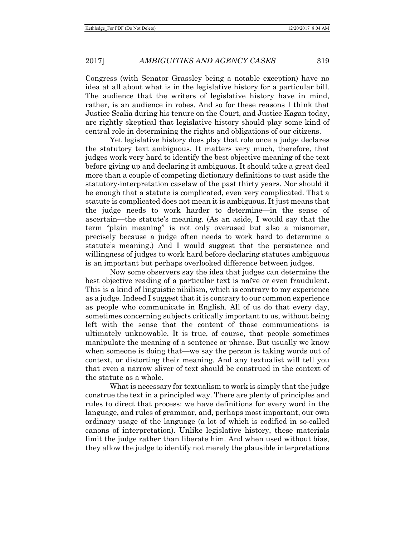Congress (with Senator Grassley being a notable exception) have no idea at all about what is in the legislative history for a particular bill. The audience that the writers of legislative history have in mind, rather, is an audience in robes. And so for these reasons I think that Justice Scalia during his tenure on the Court, and Justice Kagan today, are rightly skeptical that legislative history should play some kind of central role in determining the rights and obligations of our citizens.

Yet legislative history does play that role once a judge declares the statutory text ambiguous. It matters very much, therefore, that judges work very hard to identify the best objective meaning of the text before giving up and declaring it ambiguous. It should take a great deal more than a couple of competing dictionary definitions to cast aside the statutory-interpretation caselaw of the past thirty years. Nor should it be enough that a statute is complicated, even very complicated. That a statute is complicated does not mean it is ambiguous. It just means that the judge needs to work harder to determine—in the sense of ascertain—the statute's meaning. (As an aside, I would say that the term "plain meaning" is not only overused but also a misnomer, precisely because a judge often needs to work hard to determine a statute's meaning.) And I would suggest that the persistence and willingness of judges to work hard before declaring statutes ambiguous is an important but perhaps overlooked difference between judges.

Now some observers say the idea that judges can determine the best objective reading of a particular text is naïve or even fraudulent. This is a kind of linguistic nihilism, which is contrary to my experience as a judge. Indeed I suggest that it is contrary to our common experience as people who communicate in English. All of us do that every day, sometimes concerning subjects critically important to us, without being left with the sense that the content of those communications is ultimately unknowable. It is true, of course, that people sometimes manipulate the meaning of a sentence or phrase. But usually we know when someone is doing that—we say the person is taking words out of context, or distorting their meaning. And any textualist will tell you that even a narrow sliver of text should be construed in the context of the statute as a whole.

What is necessary for textualism to work is simply that the judge construe the text in a principled way. There are plenty of principles and rules to direct that process: we have definitions for every word in the language, and rules of grammar, and, perhaps most important, our own ordinary usage of the language (a lot of which is codified in so-called canons of interpretation). Unlike legislative history, these materials limit the judge rather than liberate him. And when used without bias, they allow the judge to identify not merely the plausible interpretations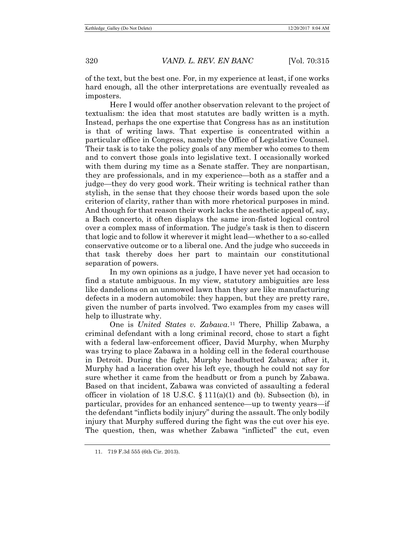of the text, but the best one. For, in my experience at least, if one works hard enough, all the other interpretations are eventually revealed as imposters.

Here I would offer another observation relevant to the project of textualism: the idea that most statutes are badly written is a myth. Instead, perhaps the one expertise that Congress has as an institution is that of writing laws. That expertise is concentrated within a particular office in Congress, namely the Office of Legislative Counsel. Their task is to take the policy goals of any member who comes to them and to convert those goals into legislative text. I occasionally worked with them during my time as a Senate staffer. They are nonpartisan, they are professionals, and in my experience—both as a staffer and a judge—they do very good work. Their writing is technical rather than stylish, in the sense that they choose their words based upon the sole criterion of clarity, rather than with more rhetorical purposes in mind. And though for that reason their work lacks the aesthetic appeal of, say, a Bach concerto, it often displays the same iron-fisted logical control over a complex mass of information. The judge's task is then to discern that logic and to follow it wherever it might lead—whether to a so-called conservative outcome or to a liberal one. And the judge who succeeds in that task thereby does her part to maintain our constitutional separation of powers.

In my own opinions as a judge, I have never yet had occasion to find a statute ambiguous. In my view, statutory ambiguities are less like dandelions on an unmowed lawn than they are like manufacturing defects in a modern automobile: they happen, but they are pretty rare, given the number of parts involved. Two examples from my cases will help to illustrate why.

<span id="page-5-0"></span>One is *United States v. Zabawa*.[11](#page-5-0) There, Phillip Zabawa, a criminal defendant with a long criminal record, chose to start a fight with a federal law-enforcement officer, David Murphy, when Murphy was trying to place Zabawa in a holding cell in the federal courthouse in Detroit. During the fight, Murphy headbutted Zabawa; after it, Murphy had a laceration over his left eye, though he could not say for sure whether it came from the headbutt or from a punch by Zabawa. Based on that incident, Zabawa was convicted of assaulting a federal officer in violation of 18 U.S.C.  $\S$  111(a)(1) and (b). Subsection (b), in particular, provides for an enhanced sentence—up to twenty years—if the defendant "inflicts bodily injury" during the assault. The only bodily injury that Murphy suffered during the fight was the cut over his eye. The question, then, was whether Zabawa "inflicted" the cut, even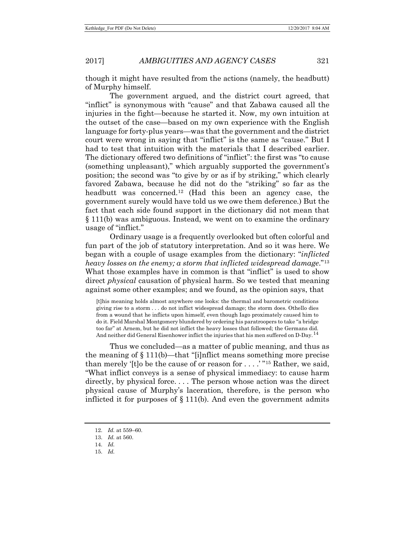2017] *AMBIGUITIES AND AGENCY CASES* 321

though it might have resulted from the actions (namely, the headbutt) of Murphy himself.

The government argued, and the district court agreed, that "inflict" is synonymous with "cause" and that Zabawa caused all the injuries in the fight—because he started it. Now, my own intuition at the outset of the case—based on my own experience with the English language for forty-plus years—was that the government and the district court were wrong in saying that "inflict" is the same as "cause." But I had to test that intuition with the materials that I described earlier. The dictionary offered two definitions of "inflict": the first was "to cause (something unpleasant)," which arguably supported the government's position; the second was "to give by or as if by striking," which clearly favored Zabawa, because he did not do the "striking" so far as the headbutt was concerned.<sup>[12](#page-6-0)</sup> (Had this been an agency case, the government surely would have told us we owe them deference.) But the fact that each side found support in the dictionary did not mean that § 111(b) was ambiguous. Instead, we went on to examine the ordinary usage of "inflict."

Ordinary usage is a frequently overlooked but often colorful and fun part of the job of statutory interpretation. And so it was here. We began with a couple of usage examples from the dictionary: "*inflicted heavy losses on the enemy; a storm that inflicted widespread damage*."[13](#page-6-1) What those examples have in common is that "inflict" is used to show direct *physical* causation of physical harm. So we tested that meaning against some other examples; and we found, as the opinion says, that

[t]his meaning holds almost anywhere one looks: the thermal and barometric conditions giving rise to a storm . . . do not inflict widespread damage; the storm does. Othello dies from a wound that he inflicts upon himself, even though Iago proximately caused him to do it. Field Marshal Montgomery blundered by ordering his paratroopers to take "a bridge too far" at Arnem, but he did not inflict the heavy losses that followed; the Germans did. And neither did General Eisenhower inflict the injuries that his men suffered on D-Day.<sup>[14](#page-6-2)</sup>

Thus we concluded—as a matter of public meaning, and thus as the meaning of § 111(b)—that "[i]nflict means something more precise than merely '[t]o be the cause of or reason for  $\dots$  . . . . "<sup>[15](#page-6-3)</sup> Rather, we said, "What inflict conveys is a sense of physical immediacy: to cause harm directly, by physical force. . . . The person whose action was the direct physical cause of Murphy's laceration, therefore, is the person who inflicted it for purposes of  $\S 111(b)$ . And even the government admits

<span id="page-6-1"></span><span id="page-6-0"></span><sup>12.</sup> *Id.* at 559–60.

<sup>13.</sup> *Id.* at 560.

<sup>14.</sup> *Id.*

<span id="page-6-3"></span><span id="page-6-2"></span><sup>15.</sup> *Id.*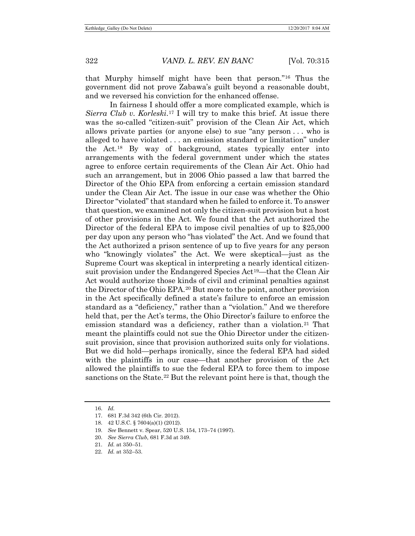that Murphy himself might have been that person."[16](#page-7-0) Thus the government did not prove Zabawa's guilt beyond a reasonable doubt, and we reversed his conviction for the enhanced offense.

In fairness I should offer a more complicated example, which is *Sierra Club v. Korleski*.[17](#page-7-1) I will try to make this brief. At issue there was the so-called "citizen-suit" provision of the Clean Air Act, which allows private parties (or anyone else) to sue "any person . . . who is alleged to have violated . . . an emission standard or limitation" under the Act.[18](#page-7-2) By way of background, states typically enter into arrangements with the federal government under which the states agree to enforce certain requirements of the Clean Air Act. Ohio had such an arrangement, but in 2006 Ohio passed a law that barred the Director of the Ohio EPA from enforcing a certain emission standard under the Clean Air Act. The issue in our case was whether the Ohio Director "violated" that standard when he failed to enforce it. To answer that question, we examined not only the citizen-suit provision but a host of other provisions in the Act. We found that the Act authorized the Director of the federal EPA to impose civil penalties of up to \$25,000 per day upon any person who "has violated" the Act. And we found that the Act authorized a prison sentence of up to five years for any person who "knowingly violates" the Act. We were skeptical—just as the Supreme Court was skeptical in interpreting a nearly identical citizensuit provision under the Endangered Species Act<sup>19</sup>—that the Clean Air Act would authorize those kinds of civil and criminal penalties against the Director of the Ohio EPA.[20](#page-7-4) But more to the point, another provision in the Act specifically defined a state's failure to enforce an emission standard as a "deficiency," rather than a "violation." And we therefore held that, per the Act's terms, the Ohio Director's failure to enforce the emission standard was a deficiency, rather than a violation.<sup>21</sup> That meant the plaintiffs could not sue the Ohio Director under the citizensuit provision, since that provision authorized suits only for violations. But we did hold—perhaps ironically, since the federal EPA had sided with the plaintiffs in our case—that another provision of the Act allowed the plaintiffs to sue the federal EPA to force them to impose sanctions on the State[.22](#page-7-6) But the relevant point here is that, though the

<span id="page-7-0"></span><sup>16.</sup> *Id.*

<span id="page-7-1"></span><sup>17.</sup> 681 F.3d 342 (6th Cir. 2012).

<span id="page-7-3"></span><span id="page-7-2"></span><sup>18.</sup> 42 U.S.C. § 7604(a)(1) (2012).

<sup>19.</sup> *See* Bennett v. Spear, 520 U.S. 154, 173–74 (1997).

<span id="page-7-4"></span><sup>20.</sup> *See Sierra Club*, 681 F.3d at 349.

<span id="page-7-5"></span><sup>21.</sup> *Id.* at 350–51.

<span id="page-7-6"></span><sup>22.</sup> *Id.* at 352–53.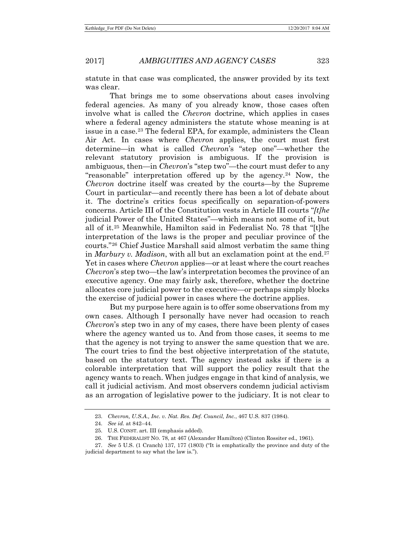statute in that case was complicated, the answer provided by its text was clear.

That brings me to some observations about cases involving federal agencies. As many of you already know, those cases often involve what is called the *Chevron* doctrine, which applies in cases where a federal agency administers the statute whose meaning is at issue in a case.[23](#page-8-0) The federal EPA, for example, administers the Clean Air Act. In cases where *Chevron* applies, the court must first determine—in what is called *Chevron*'s "step one"—whether the relevant statutory provision is ambiguous. If the provision is ambiguous, then—in *Chevron*'s "step two"—the court must defer to any "reasonable" interpretation offered up by the agency.<sup>[24](#page-8-1)</sup> Now, the *Chevron* doctrine itself was created by the courts—by the Supreme Court in particular—and recently there has been a lot of debate about it. The doctrine's critics focus specifically on separation-of-powers concerns. Article III of the Constitution vests in Article III courts "*[t]he*  judicial Power of the United States"—which means not some of it, but all of it.[25](#page-8-2) Meanwhile, Hamilton said in Federalist No. 78 that "[t]he interpretation of the laws is the proper and peculiar province of the courts."[26](#page-8-3) Chief Justice Marshall said almost verbatim the same thing in *Marbury v. Madison*, with all but an exclamation point at the end.[27](#page-8-4) Yet in cases where *Chevron* applies—or at least where the court reaches *Chevron*'s step two—the law's interpretation becomes the province of an executive agency. One may fairly ask, therefore, whether the doctrine allocates core judicial power to the executive—or perhaps simply blocks the exercise of judicial power in cases where the doctrine applies.

But my purpose here again is to offer some observations from my own cases. Although I personally have never had occasion to reach *Chevron*'s step two in any of my cases, there have been plenty of cases where the agency wanted us to. And from those cases, it seems to me that the agency is not trying to answer the same question that we are. The court tries to find the best objective interpretation of the statute, based on the statutory text. The agency instead asks if there is a colorable interpretation that will support the policy result that the agency wants to reach. When judges engage in that kind of analysis, we call it judicial activism. And most observers condemn judicial activism as an arrogation of legislative power to the judiciary. It is not clear to

<sup>23.</sup> *Chevron, U.S.A., Inc. v. Nat. Res. Def. Council, Inc.*, 467 U.S. 837 (1984).

<sup>24.</sup> *See id.* at 842–44.

<sup>25.</sup> U.S. CONST. art. III (emphasis added).

<sup>26.</sup> THE FEDERALIST NO. 78, at 467 (Alexander Hamilton) (Clinton Rossiter ed., 1961).

<span id="page-8-4"></span><span id="page-8-3"></span><span id="page-8-2"></span><span id="page-8-1"></span><span id="page-8-0"></span><sup>27.</sup> *See* 5 U.S. (1 Cranch) 137, 177 (1803) ("It is emphatically the province and duty of the judicial department to say what the law is.").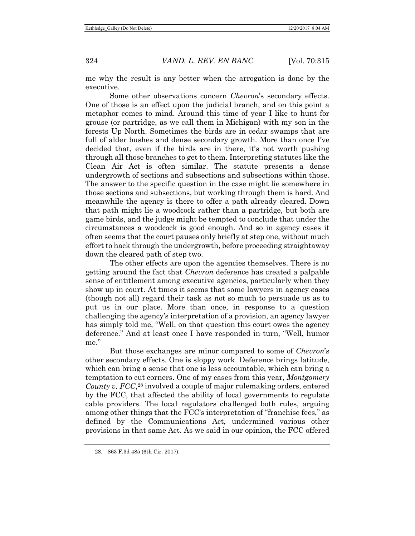me why the result is any better when the arrogation is done by the executive.

Some other observations concern *Chevron*'s secondary effects. One of those is an effect upon the judicial branch, and on this point a metaphor comes to mind. Around this time of year I like to hunt for grouse (or partridge, as we call them in Michigan) with my son in the forests Up North. Sometimes the birds are in cedar swamps that are full of alder bushes and dense secondary growth. More than once I've decided that, even if the birds are in there, it's not worth pushing through all those branches to get to them. Interpreting statutes like the Clean Air Act is often similar. The statute presents a dense undergrowth of sections and subsections and subsections within those. The answer to the specific question in the case might lie somewhere in those sections and subsections, but working through them is hard. And meanwhile the agency is there to offer a path already cleared. Down that path might lie a woodcock rather than a partridge, but both are game birds, and the judge might be tempted to conclude that under the circumstances a woodcock is good enough. And so in agency cases it often seems that the court pauses only briefly at step one, without much effort to hack through the undergrowth, before proceeding straightaway down the cleared path of step two.

The other effects are upon the agencies themselves. There is no getting around the fact that *Chevron* deference has created a palpable sense of entitlement among executive agencies, particularly when they show up in court. At times it seems that some lawyers in agency cases (though not all) regard their task as not so much to persuade us as to put us in our place. More than once, in response to a question challenging the agency's interpretation of a provision, an agency lawyer has simply told me, "Well, on that question this court owes the agency deference." And at least once I have responded in turn, "Well, humor me."

<span id="page-9-0"></span>But those exchanges are minor compared to some of *Chevron*'s other secondary effects. One is sloppy work. Deference brings latitude, which can bring a sense that one is less accountable, which can bring a temptation to cut corners. One of my cases from this year, *Montgomery County v. FCC*,<sup>[28](#page-9-0)</sup> involved a couple of major rulemaking orders, entered by the FCC, that affected the ability of local governments to regulate cable providers. The local regulators challenged both rules, arguing among other things that the FCC's interpretation of "franchise fees," as defined by the Communications Act, undermined various other provisions in that same Act. As we said in our opinion, the FCC offered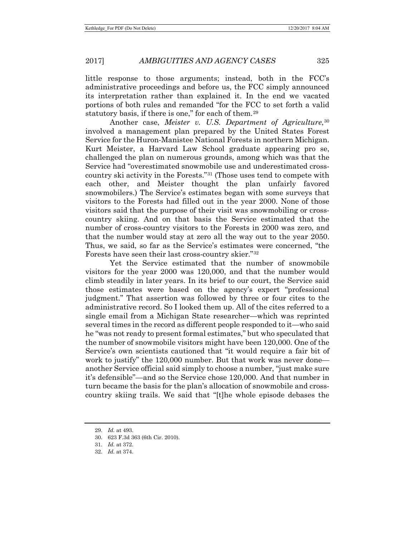little response to those arguments; instead, both in the FCC's administrative proceedings and before us, the FCC simply announced its interpretation rather than explained it. In the end we vacated portions of both rules and remanded "for the FCC to set forth a valid statutory basis, if there is one," for each of them.<sup>[29](#page-10-0)</sup>

Another case, *Meister v. U.S. Department of Agriculture*,<sup>[30](#page-10-1)</sup> involved a management plan prepared by the United States Forest Service for the Huron-Manistee National Forests in northern Michigan. Kurt Meister, a Harvard Law School graduate appearing pro se, challenged the plan on numerous grounds, among which was that the Service had "overestimated snowmobile use and underestimated crosscountry ski activity in the Forests."[31](#page-10-2) (Those uses tend to compete with each other, and Meister thought the plan unfairly favored snowmobilers.) The Service's estimates began with some surveys that visitors to the Forests had filled out in the year 2000. None of those visitors said that the purpose of their visit was snowmobiling or crosscountry skiing. And on that basis the Service estimated that the number of cross-country visitors to the Forests in 2000 was zero, and that the number would stay at zero all the way out to the year 2050. Thus, we said, so far as the Service's estimates were concerned, "the Forests have seen their last cross-country skier."[32](#page-10-3)

Yet the Service estimated that the number of snowmobile visitors for the year 2000 was 120,000, and that the number would climb steadily in later years. In its brief to our court, the Service said those estimates were based on the agency's expert "professional judgment." That assertion was followed by three or four cites to the administrative record. So I looked them up. All of the cites referred to a single email from a Michigan State researcher—which was reprinted several times in the record as different people responded to it—who said he "was not ready to present formal estimates," but who speculated that the number of snowmobile visitors might have been 120,000. One of the Service's own scientists cautioned that "it would require a fair bit of work to justify" the 120,000 number. But that work was never done another Service official said simply to choose a number, "just make sure it's defensible"—and so the Service chose 120,000. And that number in turn became the basis for the plan's allocation of snowmobile and crosscountry skiing trails. We said that "[t]he whole episode debases the

<span id="page-10-1"></span><span id="page-10-0"></span><sup>29.</sup> *Id.* at 493.

<sup>30.</sup> 623 F.3d 363 (6th Cir. 2010).

<span id="page-10-2"></span><sup>31.</sup> *Id.* at 372.

<span id="page-10-3"></span><sup>32.</sup> *Id.* at 374.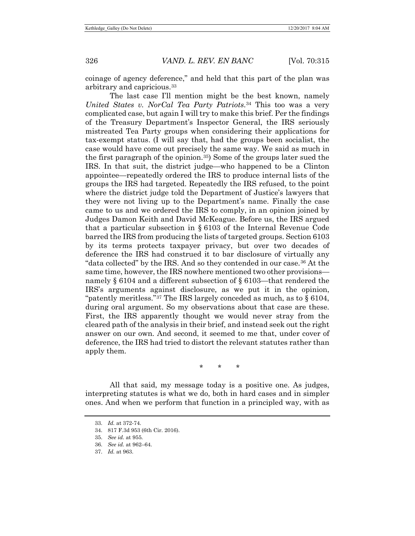coinage of agency deference," and held that this part of the plan was arbitrary and capricious.[33](#page-11-0)

The last case I'll mention might be the best known, namely *United States v. NorCal Tea Party Patriots*.[34](#page-11-1) This too was a very complicated case, but again I will try to make this brief. Per the findings of the Treasury Department's Inspector General, the IRS seriously mistreated Tea Party groups when considering their applications for tax-exempt status. (I will say that, had the groups been socialist, the case would have come out precisely the same way. We said as much in the first paragraph of the opinion.[35\)](#page-11-2) Some of the groups later sued the IRS. In that suit, the district judge—who happened to be a Clinton appointee—repeatedly ordered the IRS to produce internal lists of the groups the IRS had targeted. Repeatedly the IRS refused, to the point where the district judge told the Department of Justice's lawyers that they were not living up to the Department's name. Finally the case came to us and we ordered the IRS to comply, in an opinion joined by Judges Damon Keith and David McKeague. Before us, the IRS argued that a particular subsection in § 6103 of the Internal Revenue Code barred the IRS from producing the lists of targeted groups. Section 6103 by its terms protects taxpayer privacy, but over two decades of deference the IRS had construed it to bar disclosure of virtually any "data collected" by the IRS. And so they contended in our case.[36](#page-11-3) At the same time, however, the IRS nowhere mentioned two other provisions namely § 6104 and a different subsection of § 6103—that rendered the IRS's arguments against disclosure, as we put it in the opinion, "patently meritless."[37](#page-11-4) The IRS largely conceded as much, as to § 6104, during oral argument. So my observations about that case are these. First, the IRS apparently thought we would never stray from the cleared path of the analysis in their brief, and instead seek out the right answer on our own. And second, it seemed to me that, under cover of deference, the IRS had tried to distort the relevant statutes rather than apply them.

\* \* \*

<span id="page-11-0"></span>All that said, my message today is a positive one. As judges, interpreting statutes is what we do, both in hard cases and in simpler ones. And when we perform that function in a principled way, with as

<sup>33.</sup> *Id.* at 372-74.

<span id="page-11-1"></span><sup>34.</sup> 817 F.3d 953 (6th Cir. 2016).

<span id="page-11-2"></span><sup>35.</sup> *See id.* at 955.

<span id="page-11-3"></span><sup>36.</sup> *See id.* at 962–64.

<span id="page-11-4"></span><sup>37.</sup> *Id.* at 963.